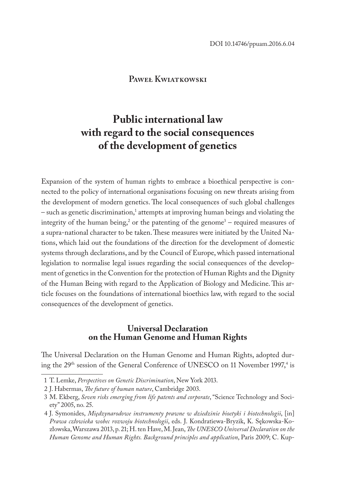### **Paweł Kwiatkowski**

# **Public international law with regard to the social consequences of the development of genetics**

Expansion of the system of human rights to embrace a bioethical perspective is connected to the policy of international organisations focusing on new threats arising from the development of modern genetics. The local consequences of such global challenges  $-$  such as genetic discrimination, $^1$  attempts at improving human beings and violating the integrity of the human being, $\epsilon$  or the patenting of the genome  $\epsilon$  – required measures of a supra-national character to be taken. These measures were initiated by the United Nations, which laid out the foundations of the direction for the development of domestic systems through declarations, and by the Council of Europe, which passed international legislation to normalise legal issues regarding the social consequences of the development of genetics in the Convention for the protection of Human Rights and the Dignity of the Human Being with regard to the Application of Biology and Medicine. This article focuses on the foundations of international bioethics law, with regard to the social consequences of the development of genetics.

# **Universal Declaration on the Human Genome and Human Rights**

The Universal Declaration on the Human Genome and Human Rights, adopted during the  $29<sup>th</sup>$  session of the General Conference of UNESCO on 11 November 1997, $4$  is

<sup>1</sup> T. Lemke, *Perspectives on Genetic Discrimination*, New York 2013.

<sup>2</sup> J. Habermas, *The future of human nature*, Cambridge 2003.

<sup>3</sup> M. Ekberg, *Seven risks emerging from life patents and corporate*, "Science Technology and Society" 2005, no. 25.

<sup>4</sup> J. Symonides, *Międzynarodowe instrumenty prawne w dziedzinie bioetyki i biotechnologii*, [in] *Prawa człowieka wobec rozwoju biotechnologii*, eds. J. Kondratiewa-Bryzik, K. Sękowska-Kozłowska, Warszawa 2013, p. 21; H. ten Have, M. Jean, *The UNESCO Universal Declaration on the Human Genome and Human Rights. Background principles and application*, Paris 2009; C. Kup-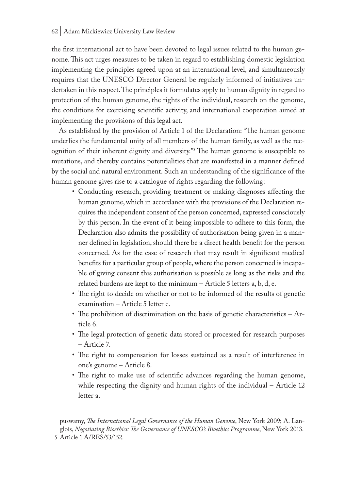the first international act to have been devoted to legal issues related to the human genome. This act urges measures to be taken in regard to establishing domestic legislation implementing the principles agreed upon at an international level, and simultaneously requires that the UNESCO Director General be regularly informed of initiatives undertaken in this respect. The principles it formulates apply to human dignity in regard to protection of the human genome, the rights of the individual, research on the genome, the conditions for exercising scientific activity, and international cooperation aimed at implementing the provisions of this legal act.

As established by the provision of Article 1 of the Declaration: "The human genome underlies the fundamental unity of all members of the human family, as well as the recognition of their inherent dignity and diversity."5 The human genome is susceptible to mutations, and thereby contains potentialities that are manifested in a manner defined by the social and natural environment. Such an understanding of the significance of the human genome gives rise to a catalogue of rights regarding the following:

- Conducting research, providing treatment or making diagnoses affecting the human genome, which in accordance with the provisions of the Declaration requires the independent consent of the person concerned, expressed consciously by this person. In the event of it being impossible to adhere to this form, the Declaration also admits the possibility of authorisation being given in a manner defined in legislation, should there be a direct health benefit for the person concerned. As for the case of research that may result in significant medical benefits for a particular group of people, where the person concerned is incapable of giving consent this authorisation is possible as long as the risks and the related burdens are kept to the minimum – Article 5 letters a, b, d, e.
- The right to decide on whether or not to be informed of the results of genetic examination – Article 5 letter c.
- The prohibition of discrimination on the basis of genetic characteristics Article 6.
- The legal protection of genetic data stored or processed for research purposes – Article 7.
- The right to compensation for losses sustained as a result of interference in one's genome – Article 8.
- The right to make use of scientific advances regarding the human genome, while respecting the dignity and human rights of the individual – Article 12 letter a.

puswamy, *The International Legal Governance of the Human Genome*, New York 2009; A. Langlois, *Negotiating Bioethics: The Governance of UNESCO's Bioethics Programme*, New York 2013.

<sup>5</sup> Article 1 A/RES/53/152.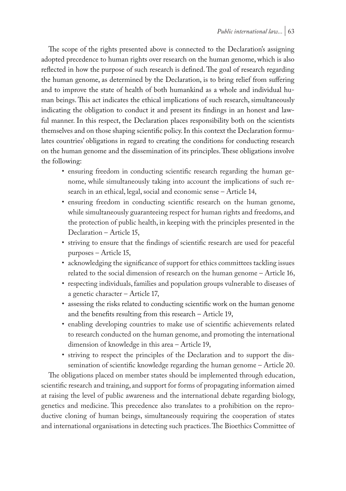The scope of the rights presented above is connected to the Declaration's assigning adopted precedence to human rights over research on the human genome, which is also reflected in how the purpose of such research is defined. The goal of research regarding the human genome, as determined by the Declaration, is to bring relief from suffering and to improve the state of health of both humankind as a whole and individual human beings. This act indicates the ethical implications of such research, simultaneously indicating the obligation to conduct it and present its findings in an honest and lawful manner. In this respect, the Declaration places responsibility both on the scientists themselves and on those shaping scientific policy. In this context the Declaration formulates countries' obligations in regard to creating the conditions for conducting research on the human genome and the dissemination of its principles. These obligations involve the following:

- ensuring freedom in conducting scientific research regarding the human genome, while simultaneously taking into account the implications of such research in an ethical, legal, social and economic sense – Article 14,
- ensuring freedom in conducting scientific research on the human genome, while simultaneously guaranteeing respect for human rights and freedoms, and the protection of public health, in keeping with the principles presented in the Declaration – Article 15,
- striving to ensure that the findings of scientific research are used for peaceful purposes – Article 15,
- acknowledging the significance of support for ethics committees tackling issues related to the social dimension of research on the human genome – Article 16,
- respecting individuals, families and population groups vulnerable to diseases of a genetic character – Article 17,
- assessing the risks related to conducting scientific work on the human genome and the benefits resulting from this research – Article 19,
- enabling developing countries to make use of scientific achievements related to research conducted on the human genome, and promoting the international dimension of knowledge in this area – Article 19,
- striving to respect the principles of the Declaration and to support the dissemination of scientific knowledge regarding the human genome – Article 20.

The obligations placed on member states should be implemented through education, scientific research and training, and support for forms of propagating information aimed at raising the level of public awareness and the international debate regarding biology, genetics and medicine. This precedence also translates to a prohibition on the reproductive cloning of human beings, simultaneously requiring the cooperation of states and international organisations in detecting such practices. The Bioethics Committee of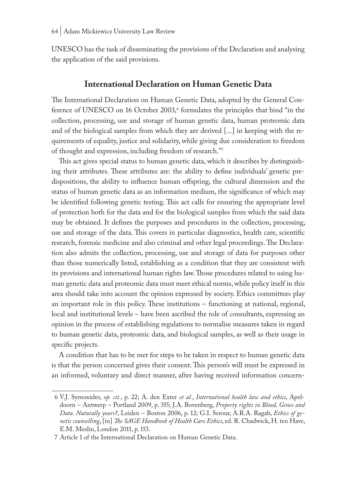UNESCO has the task of disseminating the provisions of the Declaration and analysing the application of the said provisions.

### **International Declaration on Human Genetic Data**

The International Declaration on Human Genetic Data, adopted by the General Conference of UNESCO on 16 October 2003,<sup>6</sup> formulates the principles that bind "in the collection, processing, use and storage of human genetic data, human proteomic data and of the biological samples from which they are derived [...] in keeping with the requirements of equality, justice and solidarity, while giving due consideration to freedom of thought and expression, including freedom of research."7

This act gives special status to human genetic data, which it describes by distinguishing their attributes. These attributes are: the ability to define individuals' genetic predispositions, the ability to influence human offspring, the cultural dimension and the status of human genetic data as an information medium, the significance of which may be identified following genetic testing. This act calls for ensuring the appropriate level of protection both for the data and for the biological samples from which the said data may be obtained. It defines the purposes and procedures in the collection, processing, use and storage of the data. This covers in particular diagnostics, health care, scientific research, forensic medicine and also criminal and other legal proceedings. The Declaration also admits the collection, processing, use and storage of data for purposes other than those numerically listed, establishing as a condition that they are consistent with its provisions and international human rights law. Those procedures related to using human genetic data and proteomic data must meet ethical norms, while policy itself in this area should take into account the opinion expressed by society. Ethics committees play an important role in this policy. These institutions – functioning at national, regional, local and institutional levels – have been ascribed the role of consultants, expressing an opinion in the process of establishing regulations to normalise measures taken in regard to human genetic data, proteomic data, and biological samples, as well as their usage in specific projects.

A condition that has to be met for steps to be taken in respect to human genetic data is that the person concerned gives their consent. This person's will must be expressed in an informed, voluntary and direct manner, after having received information concern-

<sup>6</sup> V.J. Symonides, *op. cit.*, p. 22; A. den Exter *et al.*, *International health law and ethics*, Apeldoorn – Antwerp – Portland 2009, p. 355; J.A. Bovenberg, *Property rights in Blood, Genes and Data. Naturally yours?*, Leiden – Boston 2006, p. 12; G.I. Serour, A.R.A. Ragab, *Ethics of genetic counselling*, [in] *The SAGE Handbook of Health Care Ethics*, ed. R. Chadwick, H. ten Have, E.M. Meslin, London 2011, p. 153.

<sup>7</sup> Article 1 of the International Declaration on Human Genetic Data.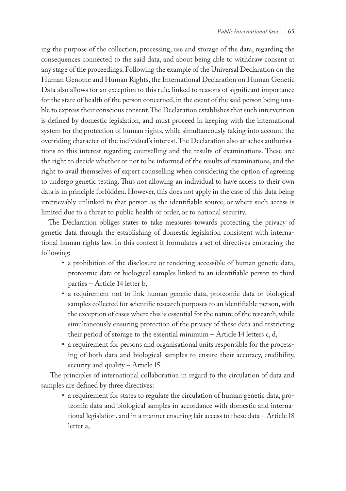ing the purpose of the collection, processing, use and storage of the data, regarding the consequences connected to the said data, and about being able to withdraw consent at any stage of the proceedings. Following the example of the Universal Declaration on the Human Genome and Human Rights, the International Declaration on Human Genetic Data also allows for an exception to this rule, linked to reasons of significant importance for the state of health of the person concerned, in the event of the said person being unable to express their conscious consent. The Declaration establishes that such intervention is defined by domestic legislation, and must proceed in keeping with the international system for the protection of human rights, while simultaneously taking into account the overriding character of the individual's interest. The Declaration also attaches authorisations to this interest regarding counselling and the results of examinations. These are: the right to decide whether or not to be informed of the results of examinations, and the right to avail themselves of expert counselling when considering the option of agreeing to undergo genetic testing. Thus not allowing an individual to have access to their own data is in principle forbidden. However, this does not apply in the case of this data being irretrievably unlinked to that person as the identifiable source, or where such access is limited due to a threat to public health or order, or to national security.

The Declaration obliges states to take measures towards protecting the privacy of genetic data through the establishing of domestic legislation consistent with international human rights law. In this context it formulates a set of directives embracing the following:

- a prohibition of the disclosure or rendering accessible of human genetic data, proteomic data or biological samples linked to an identifiable person to third parties – Article 14 letter b,
- a requirement not to link human genetic data, proteomic data or biological samples collected for scientific research purposes to an identifiable person, with the exception of cases where this is essential for the nature of the research, while simultaneously ensuring protection of the privacy of these data and restricting their period of storage to the essential minimum – Article 14 letters c, d,
- a requirement for persons and organisational units responsible for the processing of both data and biological samples to ensure their accuracy, credibility, security and quality – Article 15.

 The principles of international collaboration in regard to the circulation of data and samples are defined by three directives:

• a requirement for states to regulate the circulation of human genetic data, proteomic data and biological samples in accordance with domestic and international legislation, and in a manner ensuring fair access to these data – Article 18 letter a,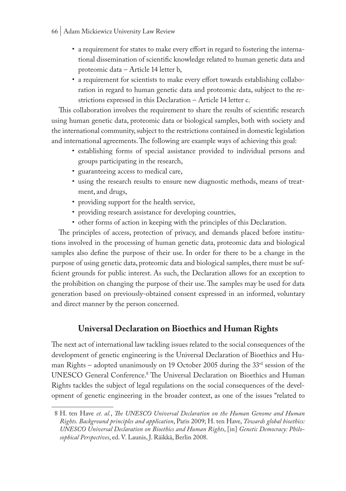- 66 | Adam Mickiewicz University Law Review
	- a requirement for states to make every effort in regard to fostering the international dissemination of scientific knowledge related to human genetic data and proteomic data – Article 14 letter b,
	- a requirement for scientists to make every effort towards establishing collaboration in regard to human genetic data and proteomic data, subject to the restrictions expressed in this Declaration – Article 14 letter c.

This collaboration involves the requirement to share the results of scientific research using human genetic data, proteomic data or biological samples, both with society and the international community, subject to the restrictions contained in domestic legislation and international agreements. The following are example ways of achieving this goal:

- establishing forms of special assistance provided to individual persons and groups participating in the research,
- guaranteeing access to medical care,
- using the research results to ensure new diagnostic methods, means of treatment, and drugs,
- providing support for the health service,
- providing research assistance for developing countries,
- other forms of action in keeping with the principles of this Declaration.

The principles of access, protection of privacy, and demands placed before institutions involved in the processing of human genetic data, proteomic data and biological samples also define the purpose of their use. In order for there to be a change in the purpose of using genetic data, proteomic data and biological samples, there must be sufficient grounds for public interest. As such, the Declaration allows for an exception to the prohibition on changing the purpose of their use. The samples may be used for data generation based on previously-obtained consent expressed in an informed, voluntary and direct manner by the person concerned.

# **Universal Declaration on Bioethics and Human Rights**

The next act of international law tackling issues related to the social consequences of the development of genetic engineering is the Universal Declaration of Bioethics and Human Rights – adopted unanimously on 19 October 2005 during the 33<sup>rd</sup> session of the UNESCO General Conference.<sup>8</sup> The Universal Declaration on Bioethics and Human Rights tackles the subject of legal regulations on the social consequences of the development of genetic engineering in the broader context, as one of the issues "related to

<sup>8</sup> H. ten Have *et. al.*, *The UNESCO Universal Declaration on the Human Genome and Human Rights. Background principles and application*, Paris 2009; H. ten Have, *Towards global bioethics: UNESCO Universal Declaration on Bioethics and Human Rights*, [in] *Genetic Democracy: Philosophical Perspectives*, ed. V. Launis, J. Räikkä, Berlin 2008.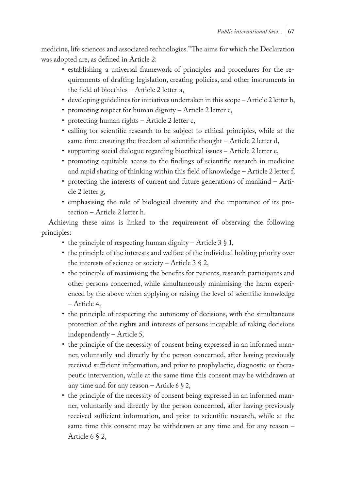medicine, life sciences and associated technologies." The aims for which the Declaration was adopted are, as defined in Article 2:

- establishing a universal framework of principles and procedures for the requirements of drafting legislation, creating policies, and other instruments in the field of bioethics – Article 2 letter a,
- developing guidelines for initiatives undertaken in this scope Article 2 letter b,
- promoting respect for human dignity Article 2 letter c,
- protecting human rights Article 2 letter c,
- calling for scientific research to be subject to ethical principles, while at the same time ensuring the freedom of scientific thought – Article 2 letter d,
- supporting social dialogue regarding bioethical issues Article 2 letter e,
- promoting equitable access to the findings of scientific research in medicine and rapid sharing of thinking within this field of knowledge – Article 2 letter f,
- protecting the interests of current and future generations of mankind Article 2 letter g,
- emphasising the role of biological diversity and the importance of its protection – Article 2 letter h.

Achieving these aims is linked to the requirement of observing the following principles:

- the principle of respecting human dignity Article  $3 \S 1$ ,
- the principle of the interests and welfare of the individual holding priority over the interests of science or society – Article 3  $\S$  2,
- the principle of maximising the benefits for patients, research participants and other persons concerned, while simultaneously minimising the harm experienced by the above when applying or raising the level of scientific knowledge – Article 4,
- the principle of respecting the autonomy of decisions, with the simultaneous protection of the rights and interests of persons incapable of taking decisions independently – Article 5,
- the principle of the necessity of consent being expressed in an informed manner, voluntarily and directly by the person concerned, after having previously received sufficient information, and prior to prophylactic, diagnostic or therapeutic intervention, while at the same time this consent may be withdrawn at any time and for any reason – Article 6  $\S$  2,
- the principle of the necessity of consent being expressed in an informed manner, voluntarily and directly by the person concerned, after having previously received sufficient information, and prior to scientific research, while at the same time this consent may be withdrawn at any time and for any reason – Article 6 § 2,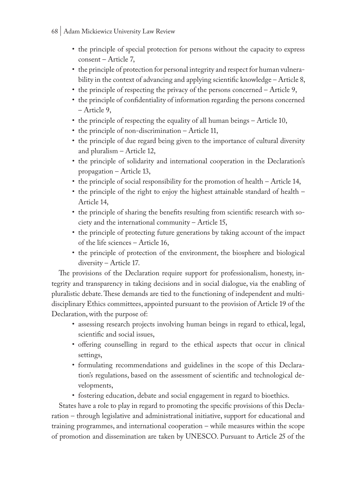- 68 | Adam Mickiewicz University Law Review
	- the principle of special protection for persons without the capacity to express consent – Article 7,
	- the principle of protection for personal integrity and respect for human vulnerability in the context of advancing and applying scientific knowledge – Article 8,
	- the principle of respecting the privacy of the persons concerned Article 9,
	- the principle of confidentiality of information regarding the persons concerned – Article 9,
	- the principle of respecting the equality of all human beings Article 10,
	- the principle of non-discrimination Article 11,
	- the principle of due regard being given to the importance of cultural diversity and pluralism – Article 12,
	- the principle of solidarity and international cooperation in the Declaration's propagation – Article 13,
	- the principle of social responsibility for the promotion of health Article 14,
	- the principle of the right to enjoy the highest attainable standard of health Article 14,
	- the principle of sharing the benefits resulting from scientific research with society and the international community – Article 15,
	- the principle of protecting future generations by taking account of the impact of the life sciences – Article 16,
	- the principle of protection of the environment, the biosphere and biological diversity – Article 17.

The provisions of the Declaration require support for professionalism, honesty, integrity and transparency in taking decisions and in social dialogue, via the enabling of pluralistic debate. These demands are tied to the functioning of independent and multidisciplinary Ethics committees, appointed pursuant to the provision of Article 19 of the Declaration, with the purpose of:

- assessing research projects involving human beings in regard to ethical, legal, scientific and social issues,
- offering counselling in regard to the ethical aspects that occur in clinical settings,
- formulating recommendations and guidelines in the scope of this Declaration's regulations, based on the assessment of scientific and technological developments,
- fostering education, debate and social engagement in regard to bioethics.

States have a role to play in regard to promoting the specific provisions of this Declaration – through legislative and administrational initiative, support for educational and training programmes, and international cooperation – while measures within the scope of promotion and dissemination are taken by UNESCO. Pursuant to Article 25 of the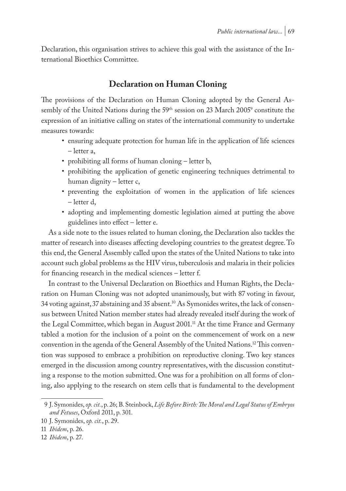Declaration, this organisation strives to achieve this goal with the assistance of the International Bioethics Committee.

# **Declaration on Human Cloning**

The provisions of the Declaration on Human Cloning adopted by the General Assembly of the United Nations during the 59<sup>th</sup> session on 23 March 2005<sup>9</sup> constitute the expression of an initiative calling on states of the international community to undertake measures towards:

- ensuring adequate protection for human life in the application of life sciences – letter a,
- prohibiting all forms of human cloning letter b,
- prohibiting the application of genetic engineering techniques detrimental to human dignity – letter c,
- preventing the exploitation of women in the application of life sciences – letter d,
- adopting and implementing domestic legislation aimed at putting the above guidelines into effect – letter e.

As a side note to the issues related to human cloning, the Declaration also tackles the matter of research into diseases affecting developing countries to the greatest degree. To this end, the General Assembly called upon the states of the United Nations to take into account such global problems as the HIV virus, tuberculosis and malaria in their policies for financing research in the medical sciences – letter f.

In contrast to the Universal Declaration on Bioethics and Human Rights, the Declaration on Human Cloning was not adopted unanimously, but with 87 voting in favour, 34 voting against, 37 abstaining and 35 absent.10 As Symonides writes, the lack of consensus between United Nation member states had already revealed itself during the work of the Legal Committee, which began in August 2001.<sup>11</sup> At the time France and Germany tabled a motion for the inclusion of a point on the commencement of work on a new convention in the agenda of the General Assembly of the United Nations.<sup>12</sup> This convention was supposed to embrace a prohibition on reproductive cloning. Two key stances emerged in the discussion among country representatives, with the discussion constituting a response to the motion submitted. One was for a prohibition on all forms of cloning, also applying to the research on stem cells that is fundamental to the development

<sup>9</sup> J. Symonides, *op. cit.*, p. 26; B. Steinbock, *Life Before Birth: The Moral and Legal Status of Embryos and Fetuses*, Oxford 2011, p. 301.

<sup>10</sup> J. Symonides, *op. cit.*, p. 29.

<sup>11</sup> *Ibidem*, p. 26.

<sup>12</sup> *Ibidem*, p. 27.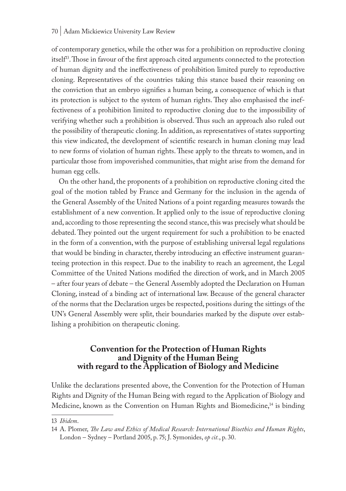of contemporary genetics, while the other was for a prohibition on reproductive cloning itself<sup>13</sup>. Those in favour of the first approach cited arguments connected to the protection of human dignity and the ineffectiveness of prohibition limited purely to reproductive cloning. Representatives of the countries taking this stance based their reasoning on the conviction that an embryo signifies a human being, a consequence of which is that its protection is subject to the system of human rights. They also emphasised the ineffectiveness of a prohibition limited to reproductive cloning due to the impossibility of verifying whether such a prohibition is observed. Thus such an approach also ruled out the possibility of therapeutic cloning. In addition, as representatives of states supporting this view indicated, the development of scientific research in human cloning may lead to new forms of violation of human rights. These apply to the threats to women, and in particular those from impoverished communities, that might arise from the demand for human egg cells.

On the other hand, the proponents of a prohibition on reproductive cloning cited the goal of the motion tabled by France and Germany for the inclusion in the agenda of the General Assembly of the United Nations of a point regarding measures towards the establishment of a new convention. It applied only to the issue of reproductive cloning and, according to those representing the second stance, this was precisely what should be debated. They pointed out the urgent requirement for such a prohibition to be enacted in the form of a convention, with the purpose of establishing universal legal regulations that would be binding in character, thereby introducing an effective instrument guaranteeing protection in this respect. Due to the inability to reach an agreement, the Legal Committee of the United Nations modified the direction of work, and in March 2005 – after four years of debate – the General Assembly adopted the Declaration on Human Cloning, instead of a binding act of international law. Because of the general character of the norms that the Declaration urges be respected, positions during the sittings of the UN's General Assembly were split, their boundaries marked by the dispute over establishing a prohibition on therapeutic cloning.

# **Convention for the Protection of Human Rights and Dignity of the Human Being with regard to the Application of Biology and Medicine**

Unlike the declarations presented above, the Convention for the Protection of Human Rights and Dignity of the Human Being with regard to the Application of Biology and Medicine, known as the Convention on Human Rights and Biomedicine,<sup>14</sup> is binding

<sup>13</sup> *Ibidem*.

<sup>14</sup> A. Plomer, *The Law and Ethics of Medical Research: International Bioethics and Human Rights*, London – Sydney – Portland 2005, p. 75; J. Symonides, *op cit.*, p. 30.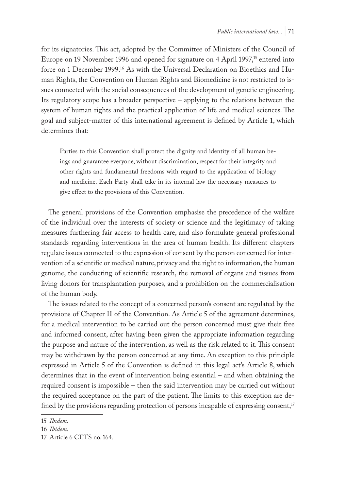for its signatories. This act, adopted by the Committee of Ministers of the Council of Europe on 19 November 1996 and opened for signature on 4 April 1997,<sup>15</sup> entered into force on 1 December 1999.16 As with the Universal Declaration on Bioethics and Human Rights, the Convention on Human Rights and Biomedicine is not restricted to issues connected with the social consequences of the development of genetic engineering. Its regulatory scope has a broader perspective – applying to the relations between the system of human rights and the practical application of life and medical sciences. The goal and subject-matter of this international agreement is defined by Article 1, which determines that:

Parties to this Convention shall protect the dignity and identity of all human beings and guarantee everyone, without discrimination, respect for their integrity and other rights and fundamental freedoms with regard to the application of biology and medicine. Each Party shall take in its internal law the necessary measures to give effect to the provisions of this Convention.

The general provisions of the Convention emphasise the precedence of the welfare of the individual over the interests of society or science and the legitimacy of taking measures furthering fair access to health care, and also formulate general professional standards regarding interventions in the area of human health. Its different chapters regulate issues connected to the expression of consent by the person concerned for intervention of a scientific or medical nature, privacy and the right to information, the human genome, the conducting of scientific research, the removal of organs and tissues from living donors for transplantation purposes, and a prohibition on the commercialisation of the human body.

The issues related to the concept of a concerned person's consent are regulated by the provisions of Chapter II of the Convention. As Article 5 of the agreement determines, for a medical intervention to be carried out the person concerned must give their free and informed consent, after having been given the appropriate information regarding the purpose and nature of the intervention, as well as the risk related to it. This consent may be withdrawn by the person concerned at any time. An exception to this principle expressed in Article 5 of the Convention is defined in this legal act's Article 8, which determines that in the event of intervention being essential – and when obtaining the required consent is impossible – then the said intervention may be carried out without the required acceptance on the part of the patient. The limits to this exception are defined by the provisions regarding protection of persons incapable of expressing consent, $17$ 

<sup>15</sup> *Ibidem*.

<sup>16</sup> *Ibidem*.

<sup>17</sup> Article 6 CETS no. 164.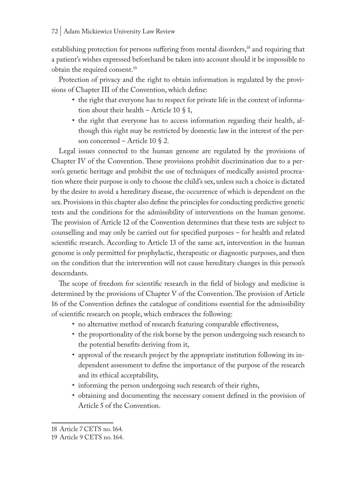establishing protection for persons suffering from mental disorders,<sup>18</sup> and requiring that a patient's wishes expressed beforehand be taken into account should it be impossible to obtain the required consent.19

Protection of privacy and the right to obtain information is regulated by the provisions of Chapter III of the Convention, which define:

- the right that everyone has to respect for private life in the context of information about their health – Article 10  $\S$  1,
- the right that everyone has to access information regarding their health, although this right may be restricted by domestic law in the interest of the person concerned – Article 10 § 2.

Legal issues connected to the human genome are regulated by the provisions of Chapter IV of the Convention. These provisions prohibit discrimination due to a person's genetic heritage and prohibit the use of techniques of medically assisted procreation where their purpose is only to choose the child's sex, unless such a choice is dictated by the desire to avoid a hereditary disease, the occurrence of which is dependent on the sex. Provisions in this chapter also define the principles for conducting predictive genetic tests and the conditions for the admissibility of interventions on the human genome. The provision of Article 12 of the Convention determines that these tests are subject to counselling and may only be carried out for specified purposes – for health and related scientific research. According to Article 13 of the same act, intervention in the human genome is only permitted for prophylactic, therapeutic or diagnostic purposes, and then on the condition that the intervention will not cause hereditary changes in this person's descendants.

The scope of freedom for scientific research in the field of biology and medicine is determined by the provisions of Chapter V of the Convention. The provision of Article 16 of the Convention defines the catalogue of conditions essential for the admissibility of scientific research on people, which embraces the following:

- no alternative method of research featuring comparable effectiveness,
- the proportionality of the risk borne by the person undergoing such research to the potential benefits deriving from it,
- approval of the research project by the appropriate institution following its independent assessment to define the importance of the purpose of the research and its ethical acceptability,
- informing the person undergoing such research of their rights,
- obtaining and documenting the necessary consent defined in the provision of Article 5 of the Convention.

<sup>18</sup> Article 7 CETS no. 164.

<sup>19</sup> Article 9 CETS no. 164.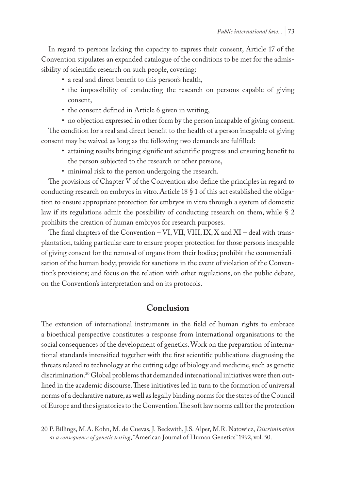In regard to persons lacking the capacity to express their consent, Article 17 of the Convention stipulates an expanded catalogue of the conditions to be met for the admissibility of scientific research on such people, covering:

- a real and direct benefit to this person's health,
- the impossibility of conducting the research on persons capable of giving consent,
- the consent defined in Article 6 given in writing,
- no objection expressed in other form by the person incapable of giving consent. The condition for a real and direct benefit to the health of a person incapable of giving consent may be waived as long as the following two demands are fulfilled:
	- attaining results bringing significant scientific progress and ensuring benefit to the person subjected to the research or other persons,
	- minimal risk to the person undergoing the research.

The provisions of Chapter V of the Convention also define the principles in regard to conducting research on embryos in vitro. Article 18 § 1 of this act established the obligation to ensure appropriate protection for embryos in vitro through a system of domestic law if its regulations admit the possibility of conducting research on them, while § 2 prohibits the creation of human embryos for research purposes.

The final chapters of the Convention – VI, VII, VIII, IX, X and XI – deal with transplantation, taking particular care to ensure proper protection for those persons incapable of giving consent for the removal of organs from their bodies; prohibit the commercialisation of the human body; provide for sanctions in the event of violation of the Convention's provisions; and focus on the relation with other regulations, on the public debate, on the Convention's interpretation and on its protocols.

# **Conclusion**

The extension of international instruments in the field of human rights to embrace a bioethical perspective constitutes a response from international organisations to the social consequences of the development of genetics. Work on the preparation of international standards intensified together with the first scientific publications diagnosing the threats related to technology at the cutting edge of biology and medicine, such as genetic discrimination.<sup>20</sup> Global problems that demanded international initiatives were then outlined in the academic discourse. These initiatives led in turn to the formation of universal norms of a declarative nature, as well as legally binding norms for the states of the Council of Europe and the signatories to the Convention. The soft law norms call for the protection

<sup>20</sup> P. Billings, M.A. Kohn, M. de Cuevas, J. Beckwith, J.S. Alper, M.R. Natowicz, *Discrimination as a consequence of genetic testing*, "American Journal of Human Genetics" 1992, vol. 50.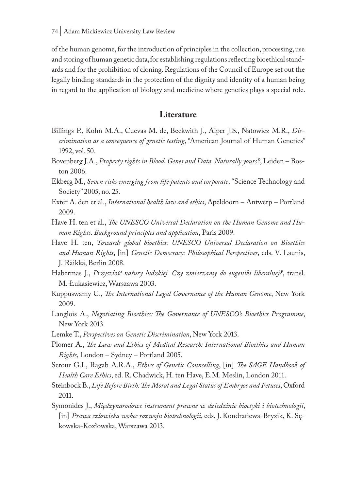of the human genome, for the introduction of principles in the collection, processing, use and storing of human genetic data, for establishing regulations reflecting bioethical standards and for the prohibition of cloning. Regulations of the Council of Europe set out the legally binding standards in the protection of the dignity and identity of a human being in regard to the application of biology and medicine where genetics plays a special role.

## **Literature**

- Billings P., Kohn M.A., Cuevas M. de, Beckwith J., Alper J.S., Natowicz M.R., *Discrimination as a consequence of genetic testing*, "American Journal of Human Genetics" 1992, vol. 50.
- Bovenberg J.A., *Property rights in Blood, Genes and Data. Naturally yours?*, Leiden Boston 2006.
- Ekberg M., *Seven risks emerging from life patents and corporate*, "Science Technology and Society" 2005, no. 25.
- Exter A. den et al., *International health law and ethics*, Apeldoorn Antwerp Portland 2009.
- Have H. ten et al., *The UNESCO Universal Declaration on the Human Genome and Human Rights. Background principles and application*, Paris 2009.
- Have H. ten, *Towards global bioethics: UNESCO Universal Declaration on Bioethics and Human Rights*, [in] *Genetic Democracy: Philosophical Perspectives*, eds. V. Launis, J. Räikkä, Berlin 2008.
- Habermas J., *Przyszłość natury ludzkiej. Czy zmierzamy do eugeniki liberalnej?*, transl. M. Łukasiewicz, Warszawa 2003.
- Kuppuswamy C., *The International Legal Governance of the Human Genome*, New York 2009.
- Langlois A., *Negotiating Bioethics: The Governance of UNESCO's Bioethics Programme*, New York 2013.
- Lemke T., *Perspectives on Genetic Discrimination*, New York 2013.
- Plomer A., *The Law and Ethics of Medical Research: International Bioethics and Human Rights*, London – Sydney – Portland 2005.
- Serour G.I., Ragab A.R.A., *Ethics of Genetic Counselling*, [in] *The SAGE Handbook of Health Care Ethics*, ed. R. Chadwick, H. ten Have, E.M. Meslin, London 2011.
- Steinbock B., *Life Before Birth: The Moral and Legal Status of Embryos and Fetuses*, Oxford 2011.
- Symonides J., *Międzynarodowe instrument prawne w dziedzinie bioetyki i biotechnologii*, [in] *Prawa człowieka wobec rozwoju biotechnologii*, eds. J. Kondratiewa-Bryzik, K. Sękowska-Kozłowska, Warszawa 2013.